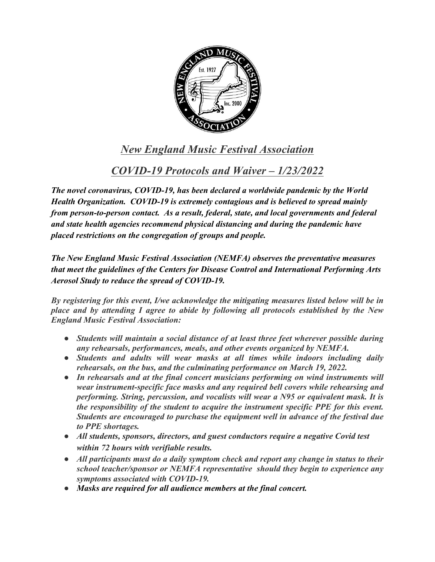

## *New England Music Festival Association*

*COVID-19 Protocols and Waiver – 1/23/2022*

*The novel coronavirus, COVID-19, has been declared a worldwide pandemic by the World Health Organization. COVID-19 is extremely contagious and is believed to spread mainly from person-to-person contact. As a result, federal, state, and local governments and federal and state health agencies recommend physical distancing and during the pandemic have placed restrictions on the congregation of groups and people.*

*The New England Music Festival Association (NEMFA) observes the preventative measures that meet the guidelines of the Centers for Disease Control and International Performing Arts Aerosol Study to reduce the spread of COVID-19.* 

*By registering for this event, I/we acknowledge the mitigating measures listed below will be in place and by attending I agree to abide by following all protocols established by the New England Music Festival Association:*

- *Students will maintain a social distance of at least three feet wherever possible during any rehearsals, performances, meals, and other events organized by NEMFA.*
- *Students and adults will wear masks at all times while indoors including daily rehearsals, on the bus, and the culminating performance on March 19, 2022.*
- *In rehearsals and at the final concert musicians performing on wind instruments will wear instrument-specific face masks and any required bell covers while rehearsing and performing. String, percussion, and vocalists will wear a N95 or equivalent mask. It is the responsibility of the student to acquire the instrument specific PPE for this event. Students are encouraged to purchase the equipment well in advance of the festival due to PPE shortages.*
- *All students, sponsors, directors, and guest conductors require a negative Covid test within 72 hours with verifiable results.*
- *All participants must do a daily symptom check and report any change in status to their school teacher/sponsor or NEMFA representative should they begin to experience any symptoms associated with COVID-19.*
- *Masks are required for all audience members at the final concert.*